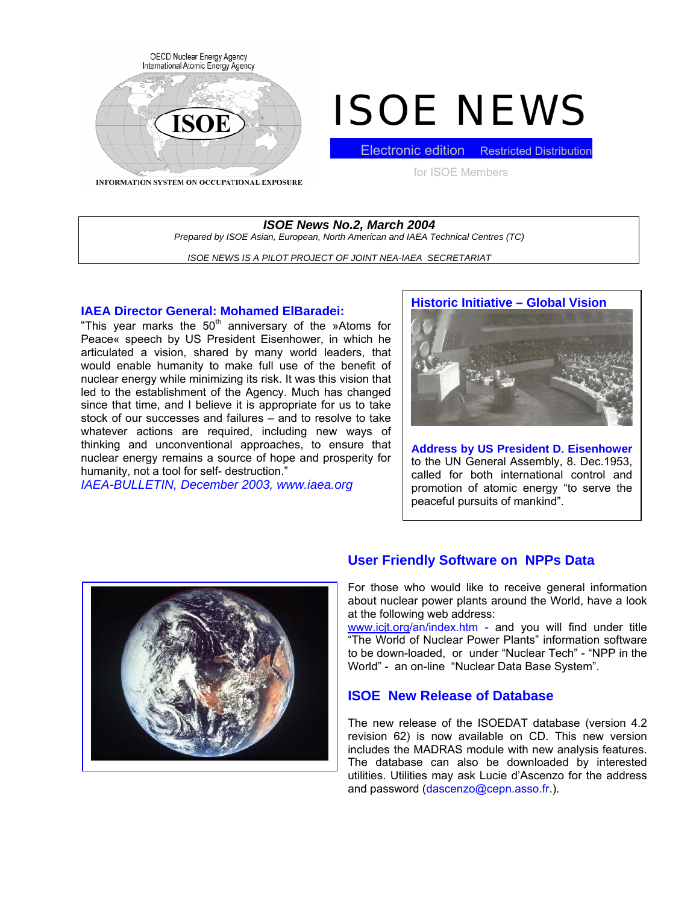

# ISOE NEWS

**INFORMATION SYSTEM ON OCCUPATIONAL EXPOSURE** 

**Electronic edition** Restricted Distribution for ISOE Members

# *ISOE News No.2, March 2004 Prepared by ISOE Asian, European, North American and IAEA Technical Centres (TC)*

*ISOE NEWS IS A PILOT PROJECT OF JOINT NEA-IAEA SECRETARIAT* 

#### **IAEA Director General: Mohamed ElBaradei:**

"This year marks the  $50<sup>th</sup>$  anniversary of the »Atoms for Peace« speech by US President Eisenhower, in which he articulated a vision, shared by many world leaders, that would enable humanity to make full use of the benefit of nuclear energy while minimizing its risk. It was this vision that led to the establishment of the Agency. Much has changed since that time, and I believe it is appropriate for us to take stock of our successes and failures – and to resolve to take whatever actions are required, including new ways of thinking and unconventional approaches, to ensure that nuclear energy remains a source of hope and prosperity for humanity, not a tool for self- destruction."

*IAEA-BULLETIN, December 2003, www.iaea.org* 

# **Historic Initiative – Global Vision**

**Address by US President D. Eisenhower** to the UN General Assembly, 8. Dec.1953, called for both international control and promotion of atomic energy "to serve the peaceful pursuits of mankind".



# **User Friendly Software on NPPs Data**

For those who would like to receive general information about nuclear power plants around the World, have a look at the following web address:

[www.icjt.org/](http://www.icjt.org/)an/index.htm - and you will find under title "The World of Nuclear Power Plants" information software to be down-loaded, or under "Nuclear Tech" - "NPP in the World" - an on-line "Nuclear Data Base System".

# **ISOE New Release of Database**

The new release of the ISOEDAT database (version 4.2 revision 62) is now available on CD. This new version includes the MADRAS module with new analysis features. The database can also be downloaded by interested utilities. Utilities may ask Lucie d'Ascenzo for the address and password (dascenzo@cepn.asso.fr.).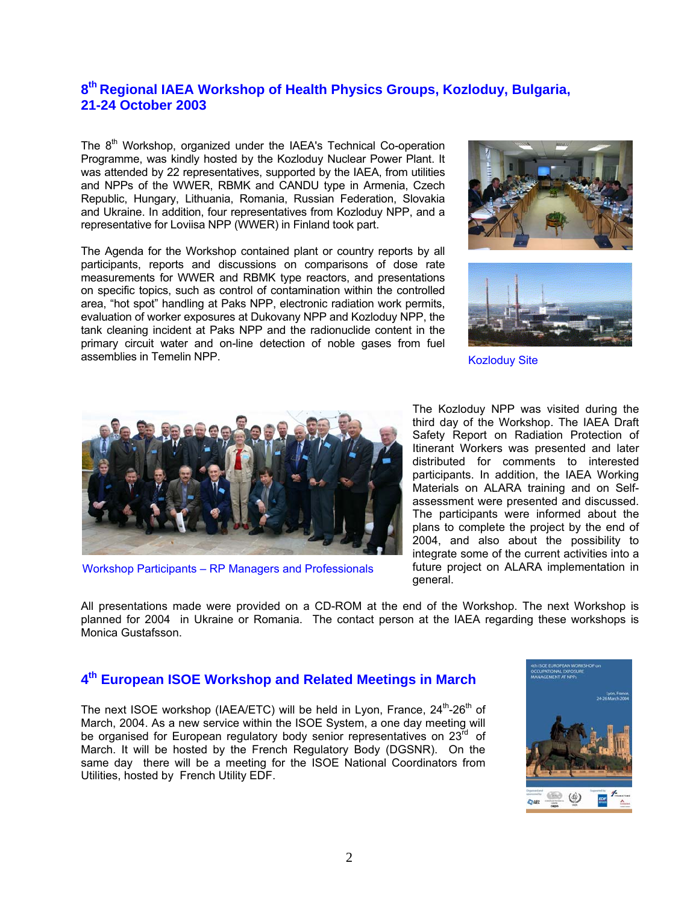# **8th Regional IAEA Workshop of Health Physics Groups, Kozloduy, Bulgaria, 21-24 October 2003**

The 8<sup>th</sup> Workshop, organized under the IAEA's Technical Co-operation Programme, was kindly hosted by the Kozloduy Nuclear Power Plant. It was attended by 22 representatives, supported by the IAEA, from utilities and NPPs of the WWER, RBMK and CANDU type in Armenia, Czech Republic, Hungary, Lithuania, Romania, Russian Federation, Slovakia and Ukraine. In addition, four representatives from Kozloduy NPP, and a representative for Loviisa NPP (WWER) in Finland took part.

The Agenda for the Workshop contained plant or country reports by all participants, reports and discussions on comparisons of dose rate measurements for WWER and RBMK type reactors, and presentations on specific topics, such as control of contamination within the controlled area, "hot spot" handling at Paks NPP, electronic radiation work permits, evaluation of worker exposures at Dukovany NPP and Kozloduy NPP, the tank cleaning incident at Paks NPP and the radionuclide content in the primary circuit water and on-line detection of noble gases from fuel assemblies in Temelin NPP. **Kozloduy Site Kozloduy Site** 







Workshop Participants – RP Managers and Professionals

The Kozloduy NPP was visited during the third day of the Workshop. The IAEA Draft Safety Report on Radiation Protection of Itinerant Workers was presented and later distributed for comments to interested participants. In addition, the IAEA Working Materials on ALARA training and on Selfassessment were presented and discussed. The participants were informed about the plans to complete the project by the end of 2004, and also about the possibility to integrate some of the current activities into a future project on ALARA implementation in general.

All presentations made were provided on a CD-ROM at the end of the Workshop. The next Workshop is planned for 2004 in Ukraine or Romania. The contact person at the IAEA regarding these workshops is Monica Gustafsson.

# **4th European ISOE Workshop and Related Meetings in March**

The next ISOE workshop (IAEA/ETC) will be held in Lyon, France,  $24<sup>th</sup>$ -26<sup>th</sup> of March, 2004. As a new service within the ISOE System, a one day meeting will be organised for European regulatory body senior representatives on  $23<sup>rd</sup>$  of March. It will be hosted by the French Regulatory Body (DGSNR). On the same day there will be a meeting for the ISOE National Coordinators from Utilities, hosted by French Utility EDF.

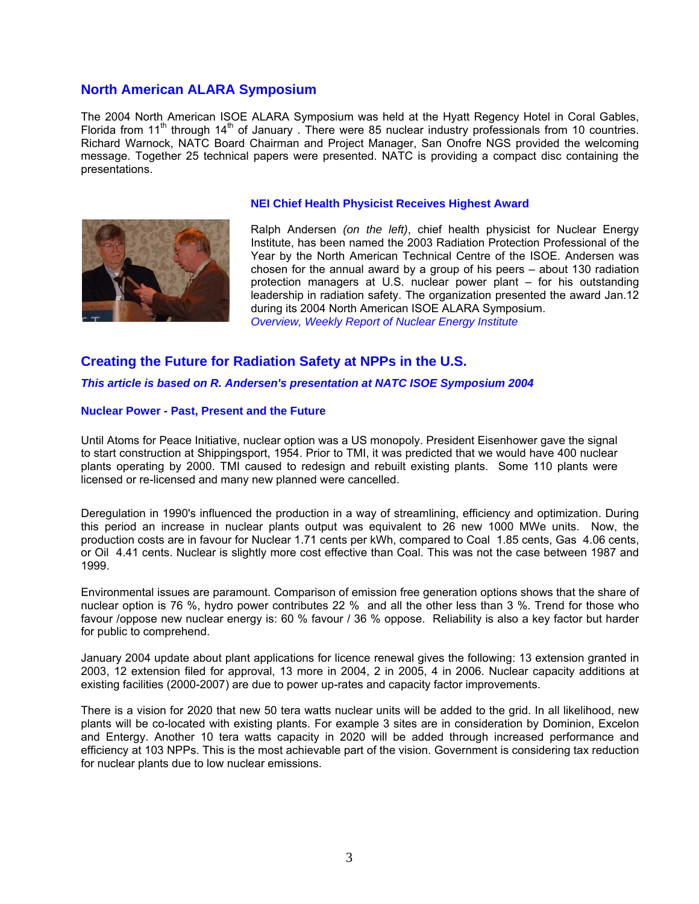# **North American ALARA Symposium**

The 2004 North American ISOE ALARA Symposium was held at the Hyatt Regency Hotel in Coral Gables, Florida from  $11<sup>th</sup>$  through  $14<sup>th</sup>$  of January . There were 85 nuclear industry professionals from 10 countries. Richard Warnock, NATC Board Chairman and Project Manager, San Onofre NGS provided the welcoming message. Together 25 technical papers were presented. NATC is providing a compact disc containing the presentations.



#### **NEI Chief Health Physicist Receives Highest Award**

Ralph Andersen *(on the left)*, chief health physicist for Nuclear Energy Institute, has been named the 2003 Radiation Protection Professional of the Year by the North American Technical Centre of the ISOE. Andersen was chosen for the annual award by a group of his peers – about 130 radiation protection managers at U.S. nuclear power plant – for his outstanding leadership in radiation safety. The organization presented the award Jan.12 during its 2004 North American ISOE ALARA Symposium. *Overview, Weekly Report of Nuclear Energy Institute* 

# **Creating the Future for Radiation Safety at NPPs in the U.S.**

*This article is based on R. Andersen's presentation at NATC ISOE Symposium 2004* 

#### **Nuclear Power - Past, Present and the Future**

Until Atoms for Peace Initiative, nuclear option was a US monopoly. President Eisenhower gave the signal to start construction at Shippingsport, 1954. Prior to TMI, it was predicted that we would have 400 nuclear plants operating by 2000. TMI caused to redesign and rebuilt existing plants. Some 110 plants were licensed or re-licensed and many new planned were cancelled.

Deregulation in 1990's influenced the production in a way of streamlining, efficiency and optimization. During this period an increase in nuclear plants output was equivalent to 26 new 1000 MWe units. Now, the production costs are in favour for Nuclear 1.71 cents per kWh, compared to Coal 1.85 cents, Gas 4.06 cents, or Oil 4.41 cents. Nuclear is slightly more cost effective than Coal. This was not the case between 1987 and 1999.

Environmental issues are paramount. Comparison of emission free generation options shows that the share of nuclear option is 76 %, hydro power contributes 22 % and all the other less than 3 %. Trend for those who favour /oppose new nuclear energy is: 60 % favour / 36 % oppose. Reliability is also a key factor but harder for public to comprehend.

January 2004 update about plant applications for licence renewal gives the following: 13 extension granted in 2003, 12 extension filed for approval, 13 more in 2004, 2 in 2005, 4 in 2006. Nuclear capacity additions at existing facilities (2000-2007) are due to power up-rates and capacity factor improvements.

There is a vision for 2020 that new 50 tera watts nuclear units will be added to the grid. In all likelihood, new plants will be co-located with existing plants. For example 3 sites are in consideration by Dominion, Excelon and Entergy. Another 10 tera watts capacity in 2020 will be added through increased performance and efficiency at 103 NPPs. This is the most achievable part of the vision. Government is considering tax reduction for nuclear plants due to low nuclear emissions.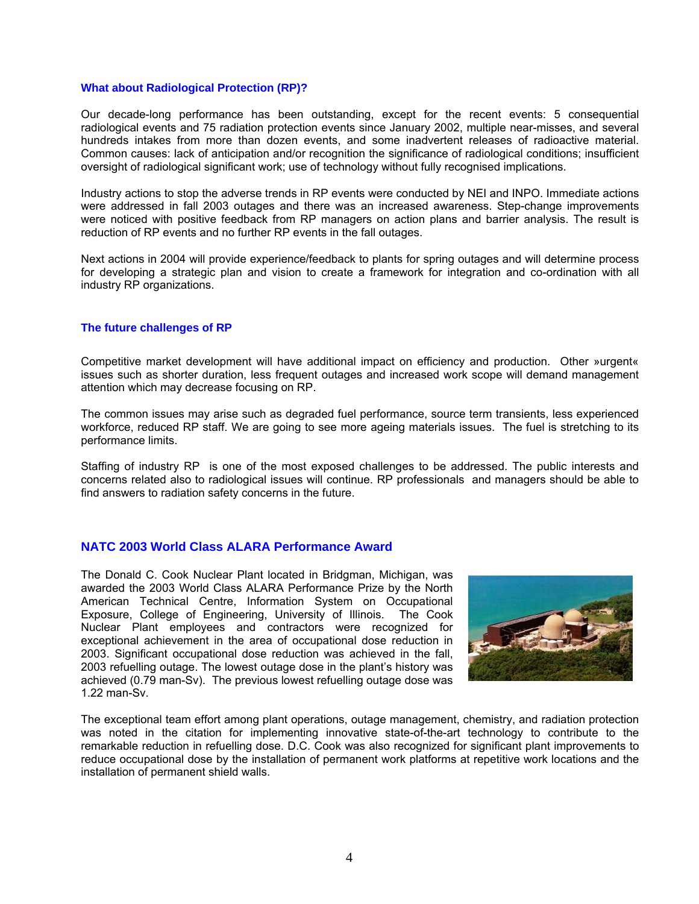#### **What about Radiological Protection (RP)?**

Our decade-long performance has been outstanding, except for the recent events: 5 consequential radiological events and 75 radiation protection events since January 2002, multiple near-misses, and several hundreds intakes from more than dozen events, and some inadvertent releases of radioactive material. Common causes: lack of anticipation and/or recognition the significance of radiological conditions; insufficient oversight of radiological significant work; use of technology without fully recognised implications.

Industry actions to stop the adverse trends in RP events were conducted by NEI and INPO. Immediate actions were addressed in fall 2003 outages and there was an increased awareness. Step-change improvements were noticed with positive feedback from RP managers on action plans and barrier analysis. The result is reduction of RP events and no further RP events in the fall outages.

Next actions in 2004 will provide experience/feedback to plants for spring outages and will determine process for developing a strategic plan and vision to create a framework for integration and co-ordination with all industry RP organizations.

#### **The future challenges of RP**

Competitive market development will have additional impact on efficiency and production. Other »urgent« issues such as shorter duration, less frequent outages and increased work scope will demand management attention which may decrease focusing on RP.

The common issues may arise such as degraded fuel performance, source term transients, less experienced workforce, reduced RP staff. We are going to see more ageing materials issues. The fuel is stretching to its performance limits.

Staffing of industry RP is one of the most exposed challenges to be addressed. The public interests and concerns related also to radiological issues will continue. RP professionals and managers should be able to find answers to radiation safety concerns in the future.

#### **NATC 2003 World Class ALARA Performance Award**

The Donald C. Cook Nuclear Plant located in Bridgman, Michigan, was awarded the 2003 World Class ALARA Performance Prize by the North American Technical Centre, Information System on Occupational Exposure, College of Engineering, University of Illinois. The Cook Nuclear Plant employees and contractors were recognized for exceptional achievement in the area of occupational dose reduction in 2003. Significant occupational dose reduction was achieved in the fall, 2003 refuelling outage. The lowest outage dose in the plant's history was achieved (0.79 man-Sv). The previous lowest refuelling outage dose was 1.22 man-Sv.



The exceptional team effort among plant operations, outage management, chemistry, and radiation protection was noted in the citation for implementing innovative state-of-the-art technology to contribute to the remarkable reduction in refuelling dose. D.C. Cook was also recognized for significant plant improvements to reduce occupational dose by the installation of permanent work platforms at repetitive work locations and the installation of permanent shield walls.